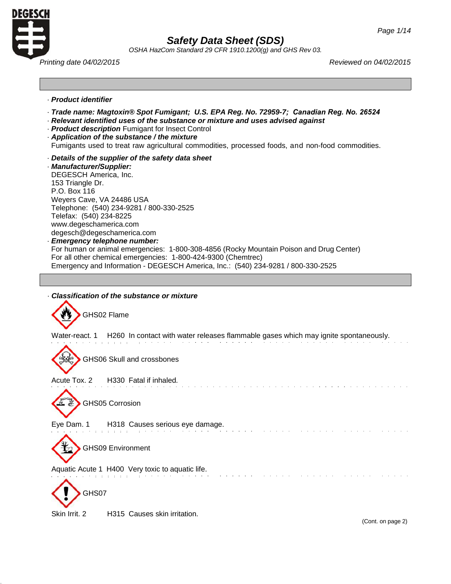

*OSHA HazCom Standard 29 CFR 1910.1200(g) and GHS Rev 03.*

*Printing date 04/02/2015 Reviewed on 04/02/2015*

## · *Product identifier*

- · *Trade name: Magtoxin® Spot Fumigant; U.S. EPA Reg. No. 72959-7; Canadian Reg. No. 26524*
- · *Relevant identified uses of the substance or mixture and uses advised against*
- · *Product description* Fumigant for Insect Control
- · *Application of the substance / the mixture*

Fumigants used to treat raw agricultural commodities, processed foods, and non-food commodities.

· *Details of the supplier of the safety data sheet*

· *Manufacturer/Supplier:* DEGESCH America, Inc. 153 Triangle Dr. P.O. Box 116 Weyers Cave, VA 24486 USA Telephone: (540) 234-9281 / 800-330-2525 Telefax: (540) 234-8225 [www.degeschamerica.com](http://www.degeschamerica.com/) [degesch@degeschamerica.com](mailto:degesch@degeschamerica.com)

## · *Emergency telephone number:*

For human or animal emergencies: 1-800-308-4856 (Rocky Mountain Poison and Drug Center) For all other chemical emergencies: 1-800-424-9300 (Chemtrec) Emergency and Information - DEGESCH America, Inc.: (540) 234-9281 / 800-330-2525



Skin Irrit. 2 H315 Causes skin irritation.

(Cont. on page 2)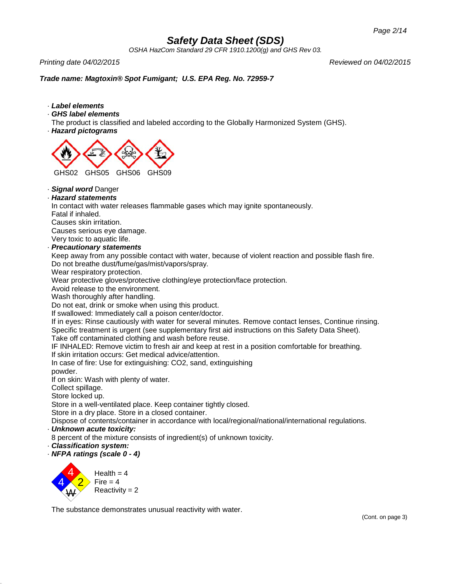*OSHA HazCom Standard 29 CFR 1910.1200(g) and GHS Rev 03.*

*Printing date 04/02/2015 Reviewed on 04/02/2015*

## *Trade name: Magtoxin® Spot Fumigant; U.S. EPA Reg. No. 72959-7*

- · *Label elements*
- · *GHS label elements*

The product is classified and labeled according to the Globally Harmonized System (GHS).

· *Hazard pictograms*



· *Signal word* Danger

## · *Hazard statements*

In contact with water releases flammable gases which may ignite spontaneously.

Fatal if inhaled.

Causes skin irritation.

Causes serious eye damage.

Very toxic to aquatic life.

## · *Precautionary statements*

Keep away from any possible contact with water, because of violent reaction and possible flash fire. Do not breathe dust/fume/gas/mist/vapors/spray.

Wear respiratory protection.

Wear protective gloves/protective clothing/eye protection/face protection.

Avoid release to the environment.

Wash thoroughly after handling.

Do not eat, drink or smoke when using this product.

If swallowed: Immediately call a poison center/doctor.

If in eyes: Rinse cautiously with water for several minutes. Remove contact lenses, Continue rinsing. Specific treatment is urgent (see supplementary first aid instructions on this Safety Data Sheet).

Take off contaminated clothing and wash before reuse.

IF INHALED: Remove victim to fresh air and keep at rest in a position comfortable for breathing.

If skin irritation occurs: Get medical advice/attention.

In case of fire: Use for extinguishing: CO2, sand, extinguishing

powder.

If on skin: Wash with plenty of water.

Collect spillage.

Store locked up.

Store in a well-ventilated place. Keep container tightly closed.

Store in a dry place. Store in a closed container.

Dispose of contents/container in accordance with local/regional/national/international regulations.

· *Unknown acute toxicity:*

8 percent of the mixture consists of ingredient(s) of unknown toxicity.

- · *Classification system:*
- · *NFPA ratings (scale 0 - 4)*



The substance demonstrates unusual reactivity with water.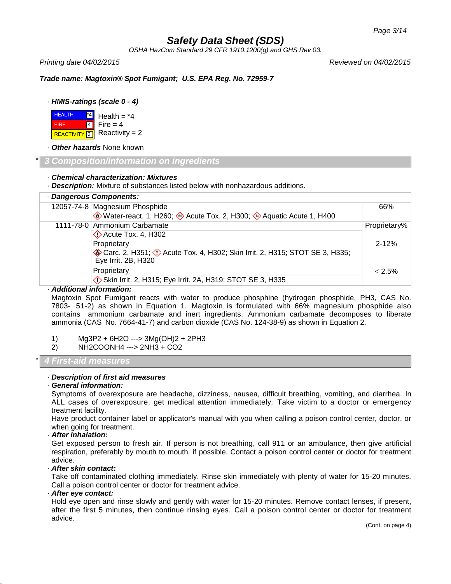*OSHA HazCom Standard 29 CFR 1910.1200(g) and GHS Rev 03.*

*Printing date 04/02/2015 Reviewed on 04/02/2015*

*Trade name: Magtoxin® Spot Fumigant; U.S. EPA Reg. No. 72959-7*

## · *HMIS-ratings (scale 0 - 4)*

**HEALTH** Health  $=$   $*4$ \*4 FIRE 4 Fire  $= 4$  $Reactivity = 2$ REACTIVITY<sup>2</sup>

· *Other hazards* None known

## \* *3 Composition/information on ingredients*

### · *Chemical characterization: Mixtures*

· *Description:* Mixture of substances listed below with nonhazardous additions.

|  | · Dangerous Components:                                                                             |              |
|--|-----------------------------------------------------------------------------------------------------|--------------|
|  | 12057-74-8 Magnesium Phosphide                                                                      | 66%          |
|  | Water-react. 1, H260; Acute Tox. 2, H300; Aquatic Acute 1, H400                                     |              |
|  | 1111-78-0 Ammonium Carbamate                                                                        | Proprietary% |
|  | $\Diamond$ Acute Tox. 4, H302                                                                       |              |
|  | Proprietary                                                                                         | $2 - 12%$    |
|  | Carc. 2, H351; (!) Acute Tox. 4, H302; Skin Irrit. 2, H315; STOT SE 3, H335;<br>Eye Irrit. 2B, H320 |              |
|  | Proprietary                                                                                         | $< 2.5\%$    |
|  | Skin Irrit. 2, H315; Eye Irrit. 2A, H319; STOT SE 3, H335                                           |              |

## · *Additional information:*

Magtoxin Spot Fumigant reacts with water to produce phosphine (hydrogen phosphide, PH3, CAS No. 7803- 51-2) as shown in Equation 1. Magtoxin is formulated with 66% magnesium phosphide also contains ammonium carbamate and inert ingredients. Ammonium carbamate decomposes to liberate ammonia (CAS No. 7664-41-7) and carbon dioxide (CAS No. 124-38-9) as shown in Equation 2.

## 1) Mg3P2 + 6H2O ---> 3Mg(OH)2 + 2PH3

2) NH2COONH4 ---> 2NH3 + CO2

\* *4 First-aid measures*

## · *Description of first aid measures*

#### · *General information:*

Symptoms of overexposure are headache, dizziness, nausea, difficult breathing, vomiting, and diarrhea. In ALL cases of overexposure, get medical attention immediately. Take victim to a doctor or emergency treatment facility.

Have product container label or applicator's manual with you when calling a poison control center, doctor, or when going for treatment.

### · *After inhalation:*

Get exposed person to fresh air. If person is not breathing, call 911 or an ambulance, then give artificial respiration, preferably by mouth to mouth, if possible. Contact a poison control center or doctor for treatment advice.

## · *After skin contact:*

Take off contaminated clothing immediately. Rinse skin immediately with plenty of water for 15-20 minutes. Call a poison control center or doctor for treatment advice.

#### · *After eye contact:*

Hold eye open and rinse slowly and gently with water for 15-20 minutes. Remove contact lenses, if present, after the first 5 minutes, then continue rinsing eyes. Call a poison control center or doctor for treatment advice.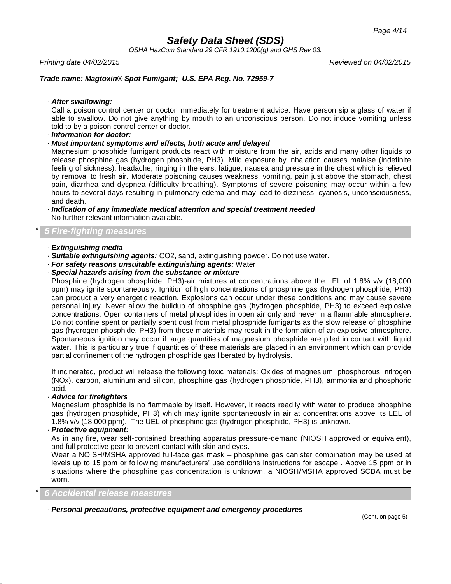*OSHA HazCom Standard 29 CFR 1910.1200(g) and GHS Rev 03.*

*Printing date 04/02/2015 Reviewed on 04/02/2015*

## *Trade name: Magtoxin® Spot Fumigant; U.S. EPA Reg. No. 72959-7*

· *After swallowing:*

Call a poison control center or doctor immediately for treatment advice. Have person sip a glass of water if able to swallow. Do not give anything by mouth to an unconscious person. Do not induce vomiting unless told to by a poison control center or doctor.

· *Information for doctor:*

### · *Most important symptoms and effects, both acute and delayed*

Magnesium phosphide fumigant products react with moisture from the air, acids and many other liquids to release phosphine gas (hydrogen phosphide, PH3). Mild exposure by inhalation causes malaise (indefinite feeling of sickness), headache, ringing in the ears, fatigue, nausea and pressure in the chest which is relieved by removal to fresh air. Moderate poisoning causes weakness, vomiting, pain just above the stomach, chest pain, diarrhea and dyspnea (difficulty breathing). Symptoms of severe poisoning may occur within a few hours to several days resulting in pulmonary edema and may lead to dizziness, cyanosis, unconsciousness, and death.

· *Indication of any immediate medical attention and special treatment needed* No further relevant information available.

## \* *5 Fire-fighting measures*

## · *Extinguishing media*

- · *Suitable extinguishing agents:* CO2, sand, extinguishing powder. Do not use water.
- · *For safety reasons unsuitable extinguishing agents:* Water
- · *Special hazards arising from the substance or mixture*

Phosphine (hydrogen phosphide, PH3)-air mixtures at concentrations above the LEL of 1.8% v/v (18,000 ppm) may ignite spontaneously. Ignition of high concentrations of phosphine gas (hydrogen phosphide, PH3) can product a very energetic reaction. Explosions can occur under these conditions and may cause severe personal injury. Never allow the buildup of phosphine gas (hydrogen phosphide, PH3) to exceed explosive concentrations. Open containers of metal phosphides in open air only and never in a flammable atmosphere. Do not confine spent or partially spent dust from metal phosphide fumigants as the slow release of phosphine gas (hydrogen phosphide, PH3) from these materials may result in the formation of an explosive atmosphere. Spontaneous ignition may occur if large quantities of magnesium phosphide are piled in contact with liquid water. This is particularly true if quantities of these materials are placed in an environment which can provide partial confinement of the hydrogen phosphide gas liberated by hydrolysis.

If incinerated, product will release the following toxic materials: Oxides of magnesium, phosphorous, nitrogen (NOx), carbon, aluminum and silicon, phosphine gas (hydrogen phosphide, PH3), ammonia and phosphoric acid.

#### · *Advice for firefighters*

Magnesium phosphide is no flammable by itself. However, it reacts readily with water to produce phosphine gas (hydrogen phosphide, PH3) which may ignite spontaneously in air at concentrations above its LEL of 1.8% v/v (18,000 ppm). The UEL of phosphine gas (hydrogen phosphide, PH3) is unknown.

#### · *Protective equipment:*

As in any fire, wear self-contained breathing apparatus pressure-demand (NIOSH approved or equivalent), and full protective gear to prevent contact with skin and eyes.

Wear a NOISH/MSHA approved full-face gas mask – phosphine gas canister combination may be used at levels up to 15 ppm or following manufacturers' use conditions instructions for escape . Above 15 ppm or in situations where the phosphine gas concentration is unknown, a NIOSH/MSHA approved SCBA must be worn.

\* *6 Accidental release measures*

#### · *Personal precautions, protective equipment and emergency procedures*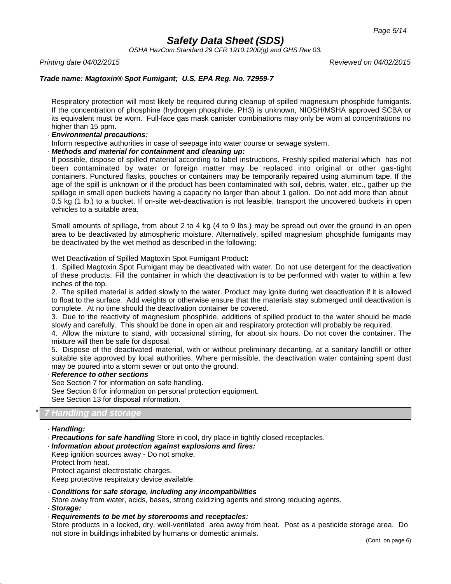*OSHA HazCom Standard 29 CFR 1910.1200(g) and GHS Rev 03.*

*Printing date 04/02/2015 Reviewed on 04/02/2015*

## *Trade name: Magtoxin® Spot Fumigant; U.S. EPA Reg. No. 72959-7*

Respiratory protection will most likely be required during cleanup of spilled magnesium phosphide fumigants. If the concentration of phosphine (hydrogen phosphide, PH3) is unknown, NIOSH/MSHA approved SCBA or its equivalent must be worn. Full-face gas mask canister combinations may only be worn at concentrations no higher than 15 ppm.

### · *Environmental precautions:*

Inform respective authorities in case of seepage into water course or sewage system.

### · *Methods and material for containment and cleaning up:*

If possible, dispose of spilled material according to label instructions. Freshly spilled material which has not been contaminated by water or foreign matter may be replaced into original or other gas-tight containers. Punctured flasks, pouches or containers may be temporarily repaired using aluminum tape. If the age of the spill is unknown or if the product has been contaminated with soil, debris, water, etc., gather up the spillage in small open buckets having a capacity no larger than about 1 gallon. Do not add more than about 0.5 kg (1 lb.) to a bucket. If on-site wet-deactivation is not feasible, transport the uncovered buckets in open vehicles to a suitable area.

Small amounts of spillage, from about 2 to 4 kg (4 to 9 lbs.) may be spread out over the ground in an open area to be deactivated by atmospheric moisture. Alternatively, spilled magnesium phosphide fumigants may be deactivated by the wet method as described in the following:

Wet Deactivation of Spilled Magtoxin Spot Fumigant Product:

1. Spilled Magtoxin Spot Fumigant may be deactivated with water. Do not use detergent for the deactivation of these products. Fill the container in which the deactivation is to be performed with water to within a few inches of the top.

2. The spilled material is added slowly to the water. Product may ignite during wet deactivation if it is allowed to float to the surface. Add weights or otherwise ensure that the materials stay submerged until deactivation is complete. At no time should the deactivation container be covered.

3. Due to the reactivity of magnesium phosphide, additions of spilled product to the water should be made slowly and carefully. This should be done in open air and respiratory protection will probably be required.

4. Allow the mixture to stand, with occasional stirring, for about six hours. Do not cover the container. The mixture will then be safe for disposal.

5. Dispose of the deactivated material, with or without preliminary decanting, at a sanitary landfill or other suitable site approved by local authorities. Where permissible, the deactivation water containing spent dust may be poured into a storm sewer or out onto the ground.

#### · *Reference to other sections*

See Section 7 for information on safe handling.

See Section 8 for information on personal protection equipment.

See Section 13 for disposal information.

#### \* *7 Handling and storage*

- · *Handling:*
- · *Precautions for safe handling* Store in cool, dry place in tightly closed receptacles.
- · *Information about protection against explosions and fires:*

Keep ignition sources away - Do not smoke. Protect from heat. Protect against electrostatic charges. Keep protective respiratory device available.

· *Conditions for safe storage, including any incompatibilities*

Store away from water, acids, bases, strong oxidizing agents and strong reducing agents. · *Storage:*

· *Requirements to be met by storerooms and receptacles:*

Store products in a locked, dry, well-ventilated area away from heat. Post as a pesticide storage area. Do not store in buildings inhabited by humans or domestic animals.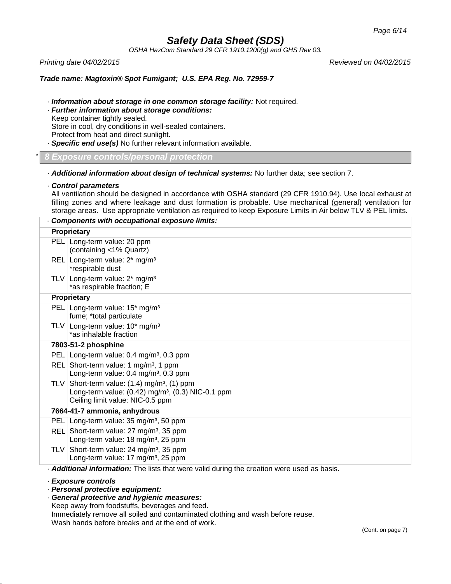*OSHA HazCom Standard 29 CFR 1910.1200(g) and GHS Rev 03.*

*Printing date 04/02/2015 Reviewed on 04/02/2015*

## *Trade name: Magtoxin® Spot Fumigant; U.S. EPA Reg. No. 72959-7*

- · *Information about storage in one common storage facility:* Not required.
- · *Further information about storage conditions:* Keep container tightly sealed. Store in cool, dry conditions in well-sealed containers. Protect from heat and direct sunlight.
- · *Specific end use(s)* No further relevant information available.

\* *8 Exposure controls/personal protection*

- · *Additional information about design of technical systems:* No further data; see section 7.
- · *Control parameters*

All ventilation should be designed in accordance with OSHA standard (29 CFR 1910.94). Use local exhaust at filling zones and where leakage and dust formation is probable. Use mechanical (general) ventilation for storage areas. Use appropriate ventilation as required to keep Exposure Limits in Air below TLV & PEL limits.

|            | Components with occupational exposure limits:                                                                                                                        |
|------------|----------------------------------------------------------------------------------------------------------------------------------------------------------------------|
|            | <b>Proprietary</b>                                                                                                                                                   |
|            | PEL Long-term value: 20 ppm<br>(containing <1% Quartz)                                                                                                               |
|            | REL Long-term value: 2* mg/m <sup>3</sup><br>*respirable dust                                                                                                        |
|            | TLV Long-term value: $2*$ mg/m <sup>3</sup><br>*as respirable fraction; E                                                                                            |
|            | Proprietary                                                                                                                                                          |
|            | PEL Long-term value: 15* mg/m <sup>3</sup><br>fume; *total particulate                                                                                               |
|            | TLV Long-term value: 10* mg/m <sup>3</sup><br>*as inhalable fraction                                                                                                 |
|            | 7803-51-2 phosphine                                                                                                                                                  |
|            | PEL Long-term value: 0.4 mg/m <sup>3</sup> , 0.3 ppm                                                                                                                 |
|            | REL Short-term value: 1 mg/m <sup>3</sup> , 1 ppm<br>Long-term value: 0.4 mg/m <sup>3</sup> , 0.3 ppm                                                                |
|            | TLV Short-term value: $(1.4)$ mg/m <sup>3</sup> , $(1)$ ppm<br>Long-term value: $(0.42)$ mg/m <sup>3</sup> , $(0.3)$ NIC-0.1 ppm<br>Ceiling limit value: NIC-0.5 ppm |
|            | 7664-41-7 ammonia, anhydrous                                                                                                                                         |
| <b>PEL</b> | Long-term value: 35 mg/m <sup>3</sup> , 50 ppm                                                                                                                       |
|            | REL Short-term value: 27 mg/m <sup>3</sup> , 35 ppm<br>Long-term value: 18 mg/m <sup>3</sup> , 25 ppm                                                                |
| TLV        | Short-term value: 24 mg/m <sup>3</sup> , 35 ppm<br>Long-term value: 17 mg/m <sup>3</sup> , 25 ppm                                                                    |
|            | . Additional information: The lists that were valid during the creation were used as basis.                                                                          |

#### · *Exposure controls*

- · *Personal protective equipment:*
- · *General protective and hygienic measures:* Keep away from foodstuffs, beverages and feed. Immediately remove all soiled and contaminated clothing and wash before reuse. Wash hands before breaks and at the end of work.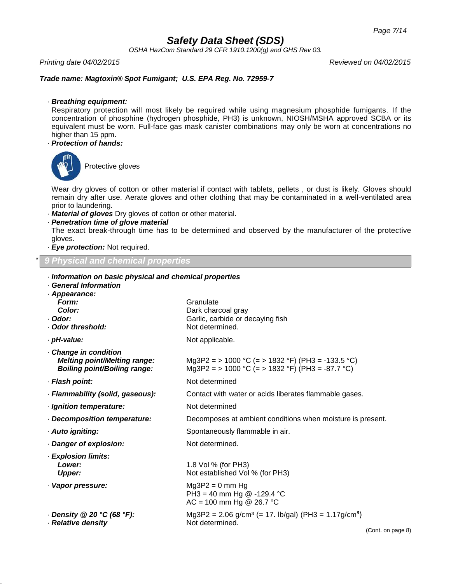*OSHA HazCom Standard 29 CFR 1910.1200(g) and GHS Rev 03.*

*Printing date 04/02/2015 Reviewed on 04/02/2015*

## *Trade name: Magtoxin® Spot Fumigant; U.S. EPA Reg. No. 72959-7*

### · *Breathing equipment:*

Respiratory protection will most likely be required while using magnesium phosphide fumigants. If the concentration of phosphine (hydrogen phosphide, PH3) is unknown, NIOSH/MSHA approved SCBA or its equivalent must be worn. Full-face gas mask canister combinations may only be worn at concentrations no higher than 15 ppm.

## · *Protection of hands:*



Protective gloves

Wear dry gloves of cotton or other material if contact with tablets, pellets , or dust is likely. Gloves should remain dry after use. Aerate gloves and other clothing that may be contaminated in a well-ventilated area prior to laundering.

· *Material of gloves* Dry gloves of cotton or other material.

· *Information on basic physical and chemical properties*

· *Penetration time of glove material*

The exact break-through time has to be determined and observed by the manufacturer of the protective gloves.

· *Eye protection:* Not required.

## \* *9 Physical and chemical properties*

| <b>General Information</b><br>Appearance:                                                                |                                                                                                                      |  |
|----------------------------------------------------------------------------------------------------------|----------------------------------------------------------------------------------------------------------------------|--|
| Form:<br>Color:<br>Odor:<br><b>Odor threshold:</b>                                                       | Granulate<br>Dark charcoal gray<br>Garlic, carbide or decaying fish<br>Not determined.                               |  |
| pH-value:                                                                                                | Not applicable.                                                                                                      |  |
| <b>Change in condition</b><br><b>Melting point/Melting range:</b><br><b>Boiling point/Boiling range:</b> | Mg3P2 = > 1000 °C (= > 1832 °F) (PH3 = -133.5 °C)<br>Mg3P2 = > 1000 °C (= > 1832 °F) (PH3 = -87.7 °C)                |  |
| · Flash point:                                                                                           | Not determined                                                                                                       |  |
| Flammability (solid, gaseous):                                                                           | Contact with water or acids liberates flammable gases.                                                               |  |
| Ignition temperature:                                                                                    | Not determined                                                                                                       |  |
| <b>Decomposition temperature:</b>                                                                        | Decomposes at ambient conditions when moisture is present.                                                           |  |
| Auto igniting:                                                                                           | Spontaneously flammable in air.                                                                                      |  |
| Danger of explosion:                                                                                     | Not determined.                                                                                                      |  |
| <b>Explosion limits:</b><br>Lower:<br><b>Upper:</b>                                                      | 1.8 Vol % (for PH3)<br>Not established Vol % (for PH3)                                                               |  |
| Vapor pressure:                                                                                          | $Mg3P2 = 0$ mm Hg<br>PH3 = 40 mm Hg @ -129.4 °C<br>AC = 100 mm Hg @ 26.7 °C                                          |  |
| . Density @ 20 °C (68 °F):<br><b>Relative density</b>                                                    | Mg3P2 = 2.06 g/cm <sup>3</sup> (= 17. lb/gal) (PH3 = 1.17g/cm <sup>3</sup> )<br>Not determined.<br>(Cont. on page 8) |  |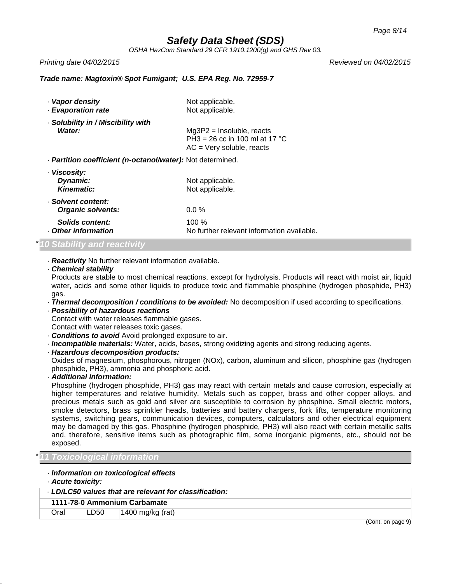*OSHA HazCom Standard 29 CFR 1910.1200(g) and GHS Rev 03.*

*Printing date 04/02/2015 Reviewed on 04/02/2015*

## *Trade name: Magtoxin® Spot Fumigant; U.S. EPA Reg. No. 72959-7*

| · Vapor density<br><b>Evaporation rate</b>                        | Not applicable.<br>Not applicable.                                                            |
|-------------------------------------------------------------------|-----------------------------------------------------------------------------------------------|
| Solubility in / Miscibility with<br>Water:                        | $Mg3P2$ = Insoluble, reacts<br>PH3 = 26 cc in 100 ml at 17 °C<br>$AC = V$ ery soluble, reacts |
| · <b>Partition coefficient (n-octanol/water):</b> Not determined. |                                                                                               |
| · Viscosity:<br>Dynamic:<br>Kinematic:                            | Not applicable.<br>Not applicable.                                                            |
| · Solvent content:<br>Organic solvents:                           | $0.0\%$                                                                                       |
| Solids content:<br>Other information                              | $100\%$<br>No further relevant information available.                                         |

## \**10 Stability and reactivity*

· *Reactivity* No further relevant information available.

#### · *Chemical stability*

Products are stable to most chemical reactions, except for hydrolysis. Products will react with moist air, liquid water, acids and some other liquids to produce toxic and flammable phosphine (hydrogen phosphide, PH3) gas.

· *Thermal decomposition / conditions to be avoided:* No decomposition if used according to specifications.

#### · *Possibility of hazardous reactions*

Contact with water releases flammable gases.

- Contact with water releases toxic gases.
- · *Conditions to avoid* Avoid prolonged exposure to air.
- · *Incompatible materials:* Water, acids, bases, strong oxidizing agents and strong reducing agents.
- · *Hazardous decomposition products:*

Oxides of magnesium, phosphorous, nitrogen (NOx), carbon, aluminum and silicon, phosphine gas (hydrogen phosphide, PH3), ammonia and phosphoric acid.

## · *Additional information:*

Phosphine (hydrogen phosphide, PH3) gas may react with certain metals and cause corrosion, especially at higher temperatures and relative humidity. Metals such as copper, brass and other copper alloys, and precious metals such as gold and silver are susceptible to corrosion by phosphine. Small electric motors, smoke detectors, brass sprinkler heads, batteries and battery chargers, fork lifts, temperature monitoring systems, switching gears, communication devices, computers, calculators and other electrical equipment may be damaged by this gas. Phosphine (hydrogen phosphide, PH3) will also react with certain metallic salts and, therefore, sensitive items such as photographic film, some inorganic pigments, etc., should not be exposed.

#### \**11 Toxicological information*

- · *Information on toxicological effects*
- · *Acute toxicity:*

|      |      | LD/LC50 values that are relevant for classification: |
|------|------|------------------------------------------------------|
|      |      | 1111-78-0 Ammonium Carbamate                         |
| Oral | LD50 | 1400 mg/kg (rat)                                     |

(Cont. on page 9)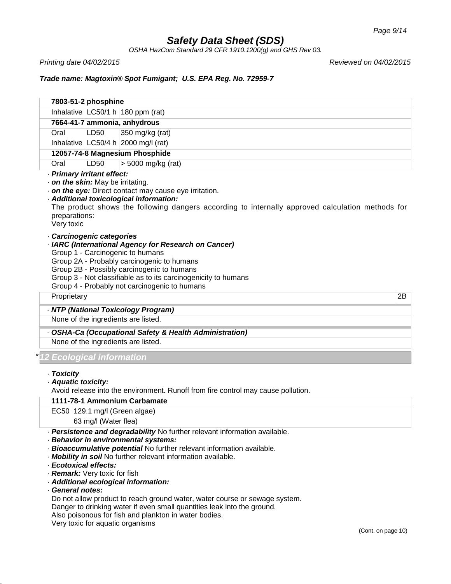*OSHA HazCom Standard 29 CFR 1910.1200(g) and GHS Rev 03.*

*Printing date 04/02/2015 Reviewed on 04/02/2015*

## *Trade name: Magtoxin® Spot Fumigant; U.S. EPA Reg. No. 72959-7*

|                                                                  | 7803-51-2 phosphine |                                                                                                                                                                                                                                                                                                         |  |
|------------------------------------------------------------------|---------------------|---------------------------------------------------------------------------------------------------------------------------------------------------------------------------------------------------------------------------------------------------------------------------------------------------------|--|
|                                                                  |                     | Inhalative LC50/1 h 180 ppm (rat)                                                                                                                                                                                                                                                                       |  |
|                                                                  |                     | 7664-41-7 ammonia, anhydrous                                                                                                                                                                                                                                                                            |  |
| Oral                                                             | LD50                | 350 mg/kg (rat)                                                                                                                                                                                                                                                                                         |  |
|                                                                  |                     | Inhalative $LC50/4 h$ 2000 mg/l (rat)                                                                                                                                                                                                                                                                   |  |
|                                                                  |                     | 12057-74-8 Magnesium Phosphide                                                                                                                                                                                                                                                                          |  |
| Oral                                                             | LD50                | > 5000 mg/kg (rat)                                                                                                                                                                                                                                                                                      |  |
| . on the skin: May be irritating.<br>preparations:<br>Very toxic |                     | . on the eye: Direct contact may cause eye irritation.<br>· Additional toxicological information:<br>The product shows the following dangers according to internally approved calculation methods for                                                                                                   |  |
| Carcinogenic categories                                          |                     | · IARC (International Agency for Research on Cancer)<br>Group 1 - Carcinogenic to humans<br>Group 2A - Probably carcinogenic to humans<br>Group 2B - Possibly carcinogenic to humans<br>Group 3 - Not classifiable as to its carcinogenicity to humans<br>Group 4 - Probably not carcinogenic to humans |  |
| Proprietary                                                      |                     | 2B                                                                                                                                                                                                                                                                                                      |  |
|                                                                  |                     | - NTP (National Toxicology Program)                                                                                                                                                                                                                                                                     |  |
|                                                                  |                     | None of the ingredients are listed.                                                                                                                                                                                                                                                                     |  |
|                                                                  |                     | - OSHA-Ca (Occupational Safety & Health Administration)<br>None of the ingredients are listed.                                                                                                                                                                                                          |  |
| <u> Ecological information</u>                                   |                     |                                                                                                                                                                                                                                                                                                         |  |
| · Toxicity<br>· Aquatic toxicity:                                |                     | Avoid release into the environment. Runoff from fire control may cause pollution.<br>1111-70-1 Ammonium Carbomato                                                                                                                                                                                       |  |

## **1111-78-1 Ammonium Carbamate**

EC50 129.1 mg/l (Green algae)

63 mg/l (Water flea)

· *Persistence and degradability* No further relevant information available.

- · *Behavior in environmental systems:*
- · *Bioaccumulative potential* No further relevant information available.
- · *Mobility in soil* No further relevant information available.
- · *Ecotoxical effects:*
- · *Remark:* Very toxic for fish
- · *Additional ecological information:*
- · *General notes:*

Do not allow product to reach ground water, water course or sewage system.

Danger to drinking water if even small quantities leak into the ground.

Also poisonous for fish and plankton in water bodies.

Very toxic for aquatic organisms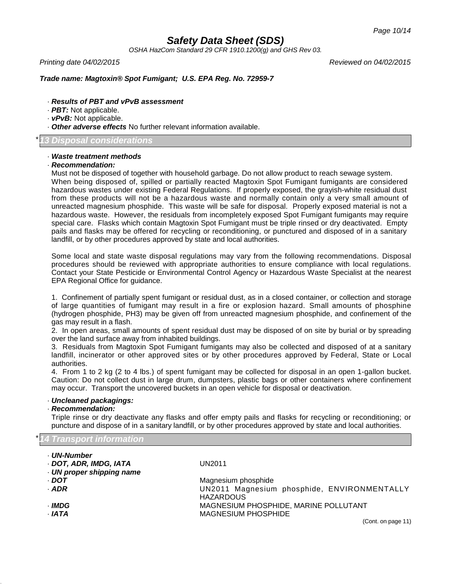*OSHA HazCom Standard 29 CFR 1910.1200(g) and GHS Rev 03.*

*Printing date 04/02/2015 Reviewed on 04/02/2015*

## *Trade name: Magtoxin® Spot Fumigant; U.S. EPA Reg. No. 72959-7*

- · *Results of PBT and vPvB assessment*
- · *PBT:* Not applicable.
- · *vPvB:* Not applicable.
- · *Other adverse effects* No further relevant information available.

### \**13 Disposal considerations*

## · *Waste treatment methods*

#### · *Recommendation:*

Must not be disposed of together with household garbage. Do not allow product to reach sewage system. When being disposed of, spilled or partially reacted Magtoxin Spot Fumigant fumigants are considered hazardous wastes under existing Federal Regulations. If properly exposed, the grayish-white residual dust from these products will not be a hazardous waste and normally contain only a very small amount of unreacted magnesium phosphide. This waste will be safe for disposal. Properly exposed material is not a hazardous waste. However, the residuals from incompletely exposed Spot Fumigant fumigants may require special care. Flasks which contain Magtoxin Spot Fumigant must be triple rinsed or dry deactivated. Empty pails and flasks may be offered for recycling or reconditioning, or punctured and disposed of in a sanitary landfill, or by other procedures approved by state and local authorities.

Some local and state waste disposal regulations may vary from the following recommendations. Disposal procedures should be reviewed with appropriate authorities to ensure compliance with local regulations. Contact your State Pesticide or Environmental Control Agency or Hazardous Waste Specialist at the nearest EPA Regional Office for guidance.

1. Confinement of partially spent fumigant or residual dust, as in a closed container, or collection and storage of large quantities of fumigant may result in a fire or explosion hazard. Small amounts of phosphine (hydrogen phosphide, PH3) may be given off from unreacted magnesium phosphide, and confinement of the gas may result in a flash.

2. In open areas, small amounts of spent residual dust may be disposed of on site by burial or by spreading over the land surface away from inhabited buildings.

3. Residuals from Magtoxin Spot Fumigant fumigants may also be collected and disposed of at a sanitary landfill, incinerator or other approved sites or by other procedures approved by Federal, State or Local authorities.

4. From 1 to 2 kg (2 to 4 lbs.) of spent fumigant may be collected for disposal in an open 1-gallon bucket. Caution: Do not collect dust in large drum, dumpsters, plastic bags or other containers where confinement may occur. Transport the uncovered buckets in an open vehicle for disposal or deactivation.

#### · *Uncleaned packagings:*

### · *Recommendation:*

Triple rinse or dry deactivate any flasks and offer empty pails and flasks for recycling or reconditioning; or puncture and dispose of in a sanitary landfill, or by other procedures approved by state and local authorities.

## \**14 Transport information*

| <b>· UN-Number</b>        |                                                                 |
|---------------------------|-----------------------------------------------------------------|
| DOT, ADR, IMDG, IATA      | UN2011                                                          |
| · UN proper shipping name |                                                                 |
| DOT -                     | Magnesium phosphide                                             |
| $.$ ADR                   | UN2011 Magnesium phosphide, ENVIRONMENTALLY<br><b>HAZARDOUS</b> |
| · IMDG                    | MAGNESIUM PHOSPHIDE, MARINE POLLUTANT                           |
| · IATA                    | <b>MAGNESIUM PHOSPHIDE</b>                                      |
|                           | (Cont. on page 11)                                              |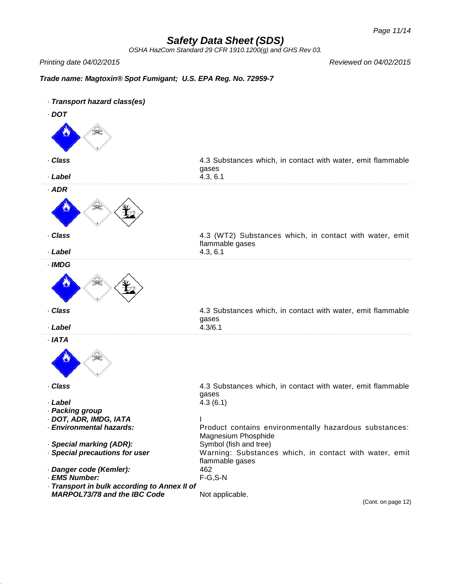*OSHA HazCom Standard 29 CFR 1910.1200(g) and GHS Rev 03.*

*Printing date 04/02/2015 Reviewed on 04/02/2015*

## *Trade name: Magtoxin® Spot Fumigant; U.S. EPA Reg. No. 72959-7*

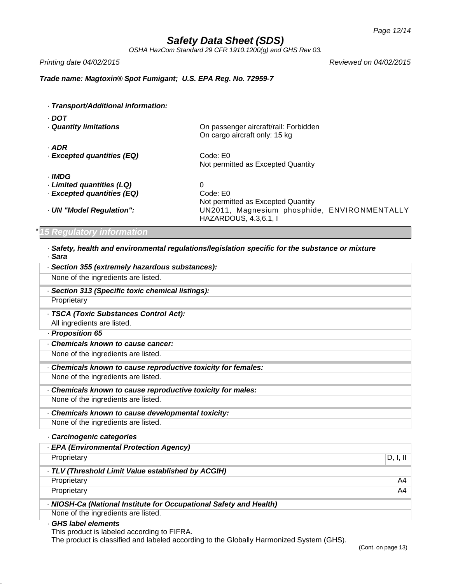*OSHA HazCom Standard 29 CFR 1910.1200(g) and GHS Rev 03.*

· *Transport/Additional information:*

*Printing date 04/02/2015 Reviewed on 04/02/2015*

## *Trade name: Magtoxin® Spot Fumigant; U.S. EPA Reg. No. 72959-7*

| - DOT                      | On passenger aircraft/rail: Forbidden                                 |
|----------------------------|-----------------------------------------------------------------------|
| Quantity limitations       | On cargo aircraft only: 15 kg                                         |
| · ADR                      | Code: E0                                                              |
| · Excepted quantities (EQ) | Not permitted as Excepted Quantity                                    |
| · IMDG                     | 0                                                                     |
| Limited quantities (LQ)    | Code: E0                                                              |
| · Excepted quantities (EQ) | Not permitted as Excepted Quantity                                    |
| UN "Model Regulation":     | UN2011, Magnesium phosphide, ENVIRONMENTALLY<br>HAZARDOUS, 4.3,6.1, I |

## \**15 Regulatory information*

· *Safety, health and environmental regulations/legislation specific for the substance or mixture* · *Sara*

| · Section 355 (extremely hazardous substances):                    |                |
|--------------------------------------------------------------------|----------------|
| None of the ingredients are listed.                                |                |
| · Section 313 (Specific toxic chemical listings):                  |                |
| Proprietary                                                        |                |
| - TSCA (Toxic Substances Control Act):                             |                |
| All ingredients are listed.                                        |                |
| - Proposition 65                                                   |                |
| Chemicals known to cause cancer:                                   |                |
| None of the ingredients are listed.                                |                |
| . Chemicals known to cause reproductive toxicity for females:      |                |
| None of the ingredients are listed.                                |                |
| - Chemicals known to cause reproductive toxicity for males:        |                |
| None of the ingredients are listed.                                |                |
| - Chemicals known to cause developmental toxicity:                 |                |
| None of the ingredients are listed.                                |                |
| · Carcinogenic categories                                          |                |
| - EPA (Environmental Protection Agency)                            |                |
| Proprietary                                                        | D, I, II       |
| · TLV (Threshold Limit Value established by ACGIH)                 |                |
| Proprietary                                                        | A <sub>4</sub> |
| Proprietary                                                        | A4             |
| - NIOSH-Ca (National Institute for Occupational Safety and Health) |                |
| None of the ingredients are listed.                                |                |
| GHS label elements<br>This product is labeled according to FIFRA   |                |

This product is labeled according to FIFRA.

The product is classified and labeled according to the Globally Harmonized System (GHS).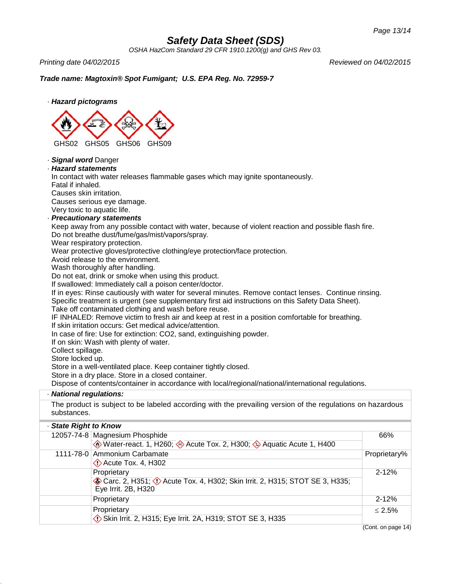*OSHA HazCom Standard 29 CFR 1910.1200(g) and GHS Rev 03.*

*Printing date 04/02/2015 Reviewed on 04/02/2015*

## *Trade name: Magtoxin® Spot Fumigant; U.S. EPA Reg. No. 72959-7*



## · *Signal word* Danger

## · *Hazard statements*

In contact with water releases flammable gases which may ignite spontaneously.

Fatal if inhaled.

Causes skin irritation.

Causes serious eye damage.

Very toxic to aquatic life.

## · *Precautionary statements*

Keep away from any possible contact with water, because of violent reaction and possible flash fire. Do not breathe dust/fume/gas/mist/vapors/spray.

Wear respiratory protection.

Wear protective gloves/protective clothing/eye protection/face protection.

Avoid release to the environment.

Wash thoroughly after handling.

Do not eat, drink or smoke when using this product.

If swallowed: Immediately call a poison center/doctor.

If in eyes: Rinse cautiously with water for several minutes. Remove contact lenses. Continue rinsing. Specific treatment is urgent (see supplementary first aid instructions on this Safety Data Sheet).

Take off contaminated clothing and wash before reuse.

IF INHALED: Remove victim to fresh air and keep at rest in a position comfortable for breathing. If skin irritation occurs: Get medical advice/attention.

In case of fire: Use for extinction: CO2, sand, extinguishing powder.

If on skin: Wash with plenty of water.

Collect spillage.

Store locked up.

Store in a well-ventilated place. Keep container tightly closed.

Store in a dry place. Store in a closed container.

Dispose of contents/container in accordance with local/regional/national/international regulations.

## · *National regulations:*

The product is subject to be labeled according with the prevailing version of the regulations on hazardous substances.

## · *State Right to Know*

| 12057-74-8 Magnesium Phosphide<br>Water-react. 1, H260; Acute Tox. 2, H300; Aquatic Acute 1, H400                | 66%          |
|------------------------------------------------------------------------------------------------------------------|--------------|
| 1111-78-0 Ammonium Carbamate<br>$\Diamond$ Acute Tox. 4, H302                                                    | Proprietary% |
| Proprietary<br>Carc. 2, H351; C Acute Tox. 4, H302; Skin Irrit. 2, H315; STOT SE 3, H335;<br>Eye Irrit. 2B, H320 | $2 - 12%$    |
| Proprietary                                                                                                      | $2 - 12%$    |
| Proprietary<br>Skin Irrit. 2, H315; Eye Irrit. 2A, H319; STOT SE 3, H335                                         | $< 2.5\%$    |

(Cont. on page 14)